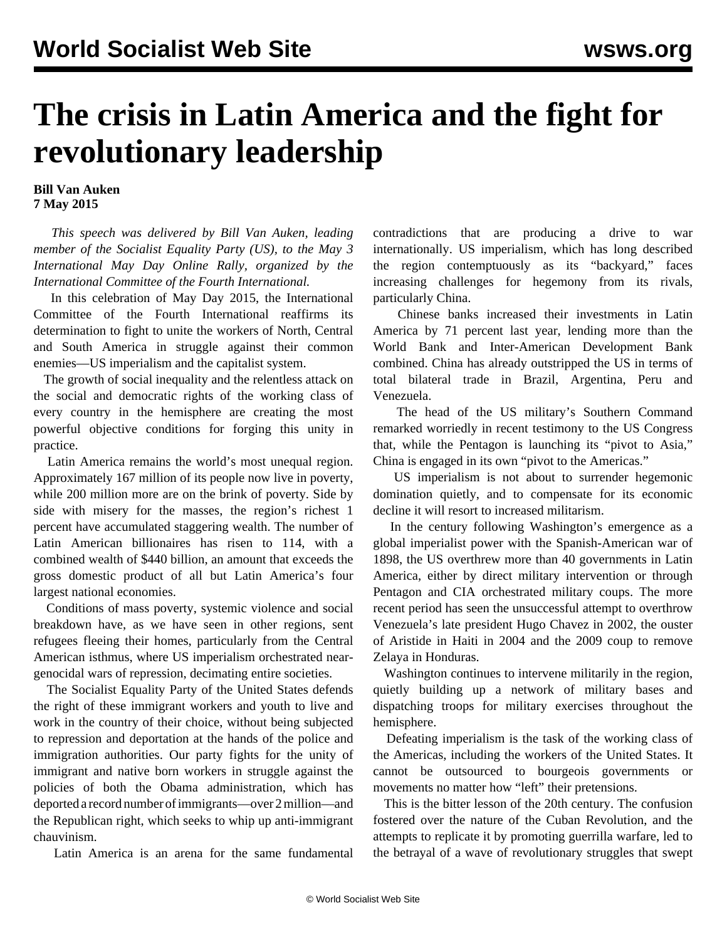## **The crisis in Latin America and the fight for revolutionary leadership**

## **Bill Van Auken 7 May 2015**

 *This speech was delivered by Bill Van Auken, leading member of the Socialist Equality Party (US), to the May 3 International May Day Online Rally, organized by the International Committee of the Fourth International.*

 In this celebration of May Day 2015, the International Committee of the Fourth International reaffirms its determination to fight to unite the workers of North, Central and South America in struggle against their common enemies—US imperialism and the capitalist system.

 The growth of social inequality and the relentless attack on the social and democratic rights of the working class of every country in the hemisphere are creating the most powerful objective conditions for forging this unity in practice.

 Latin America remains the world's most unequal region. Approximately 167 million of its people now live in poverty, while 200 million more are on the brink of poverty. Side by side with misery for the masses, the region's richest 1 percent have accumulated staggering wealth. The number of Latin American billionaires has risen to 114, with a combined wealth of \$440 billion, an amount that exceeds the gross domestic product of all but Latin America's four largest national economies.

 Conditions of mass poverty, systemic violence and social breakdown have, as we have seen in other regions, sent refugees fleeing their homes, particularly from the Central American isthmus, where US imperialism orchestrated neargenocidal wars of repression, decimating entire societies.

 The Socialist Equality Party of the United States defends the right of these immigrant workers and youth to live and work in the country of their choice, without being subjected to repression and deportation at the hands of the police and immigration authorities. Our party fights for the unity of immigrant and native born workers in struggle against the policies of both the Obama administration, which has deported a record number of immigrants—over 2 million—and the Republican right, which seeks to whip up anti-immigrant chauvinism.

Latin America is an arena for the same fundamental

contradictions that are producing a drive to war internationally. US imperialism, which has long described the region contemptuously as its "backyard," faces increasing challenges for hegemony from its rivals, particularly China.

 Chinese banks increased their investments in Latin America by 71 percent last year, lending more than the World Bank and Inter-American Development Bank combined. China has already outstripped the US in terms of total bilateral trade in Brazil, Argentina, Peru and Venezuela.

 The head of the US military's Southern Command remarked worriedly in recent testimony to the US Congress that, while the Pentagon is launching its "pivot to Asia," China is engaged in its own "pivot to the Americas."

 US imperialism is not about to surrender hegemonic domination quietly, and to compensate for its economic decline it will resort to increased militarism.

 In the century following Washington's emergence as a global imperialist power with the Spanish-American war of 1898, the US overthrew more than 40 governments in Latin America, either by direct military intervention or through Pentagon and CIA orchestrated military coups. The more recent period has seen the unsuccessful attempt to overthrow Venezuela's late president Hugo Chavez in 2002, the ouster of Aristide in Haiti in 2004 and the 2009 coup to remove Zelaya in Honduras.

 Washington continues to intervene militarily in the region, quietly building up a network of military bases and dispatching troops for military exercises throughout the hemisphere.

 Defeating imperialism is the task of the working class of the Americas, including the workers of the United States. It cannot be outsourced to bourgeois governments or movements no matter how "left" their pretensions.

 This is the bitter lesson of the 20th century. The confusion fostered over the nature of the Cuban Revolution, and the attempts to replicate it by promoting guerrilla warfare, led to the betrayal of a wave of revolutionary struggles that swept